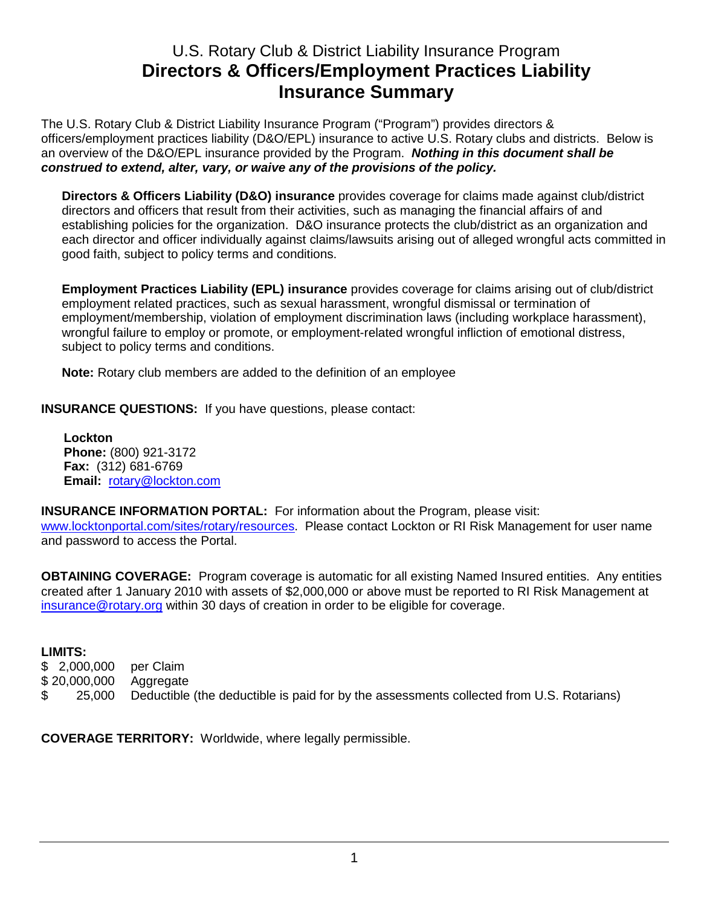## U.S. Rotary Club & District Liability Insurance Program **Directors & Officers/Employment Practices Liability Insurance Summary**

The U.S. Rotary Club & District Liability Insurance Program ("Program") provides directors & officers/employment practices liability (D&O/EPL) insurance to active U.S. Rotary clubs and districts. Below is an overview of the D&O/EPL insurance provided by the Program. **Nothing in this document shall be construed to extend, alter, vary, or waive any of the provisions of the policy.** 

**Directors & Officers Liability (D&O) insurance** provides coverage for claims made against club/district directors and officers that result from their activities, such as managing the financial affairs of and establishing policies for the organization. D&O insurance protects the club/district as an organization and each director and officer individually against claims/lawsuits arising out of alleged wrongful acts committed in good faith, subject to policy terms and conditions.

**Employment Practices Liability (EPL) insurance** provides coverage for claims arising out of club/district employment related practices, such as sexual harassment, wrongful dismissal or termination of employment/membership, violation of employment discrimination laws (including workplace harassment), wrongful failure to employ or promote, or employment-related wrongful infliction of emotional distress, subject to policy terms and conditions.

**Note:** Rotary club members are added to the definition of an employee

**INSURANCE QUESTIONS:** If you have questions, please contact:

 **Lockton Phone:** (800) 921-3172  **Fax:** (312) 681-6769  **Email:** rotary@lockton.com

**INSURANCE INFORMATION PORTAL:** For information about the Program, please visit:

www.locktonportal.com/sites/rotary/resources. Please contact Lockton or RI Risk Management for user name and password to access the Portal.

**OBTAINING COVERAGE:** Program coverage is automatic for all existing Named Insured entities. Any entities created after 1 January 2010 with assets of \$2,000,000 or above must be reported to RI Risk Management at insurance@rotary.org within 30 days of creation in order to be eligible for coverage.

## **LIMITS:**

\$ 2,000,000 per Claim \$ 20,000,000 Aggregate \$ 25,000 Deductible (the deductible is paid for by the assessments collected from U.S. Rotarians)

**COVERAGE TERRITORY:** Worldwide, where legally permissible.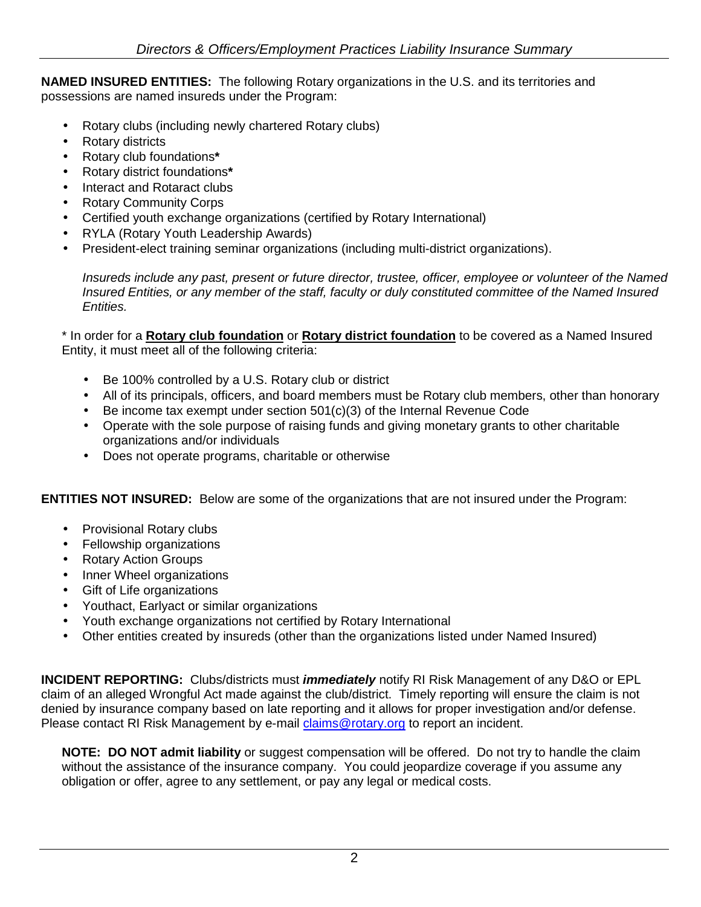**NAMED INSURED ENTITIES:** The following Rotary organizations in the U.S. and its territories and possessions are named insureds under the Program:

- Rotary clubs (including newly chartered Rotary clubs)
- Rotary districts
- Rotary club foundations**\***
- Rotary district foundations**\***
- Interact and Rotaract clubs
- Rotary Community Corps
- Certified youth exchange organizations (certified by Rotary International)
- RYLA (Rotary Youth Leadership Awards)
- President-elect training seminar organizations (including multi-district organizations).

Insureds include any past, present or future director, trustee, officer, employee or volunteer of the Named Insured Entities, or any member of the staff, faculty or duly constituted committee of the Named Insured Entities.

\* In order for a **Rotary club foundation** or **Rotary district foundation** to be covered as a Named Insured Entity, it must meet all of the following criteria:

- Be 100% controlled by a U.S. Rotary club or district
- All of its principals, officers, and board members must be Rotary club members, other than honorary
- Be income tax exempt under section 501(c)(3) of the Internal Revenue Code
- Operate with the sole purpose of raising funds and giving monetary grants to other charitable organizations and/or individuals
- Does not operate programs, charitable or otherwise

**ENTITIES NOT INSURED:** Below are some of the organizations that are not insured under the Program:

- Provisional Rotary clubs
- Fellowship organizations
- Rotary Action Groups
- Inner Wheel organizations
- Gift of Life organizations
- Youthact, Earlyact or similar organizations
- Youth exchange organizations not certified by Rotary International
- Other entities created by insureds (other than the organizations listed under Named Insured)

**INCIDENT REPORTING:** Clubs/districts must **immediately** notify RI Risk Management of any D&O or EPL claim of an alleged Wrongful Act made against the club/district. Timely reporting will ensure the claim is not denied by insurance company based on late reporting and it allows for proper investigation and/or defense. Please contact RI Risk Management by e-mail claims@rotary.org to report an incident.

**NOTE: DO NOT admit liability** or suggest compensation will be offered. Do not try to handle the claim without the assistance of the insurance company. You could jeopardize coverage if you assume any obligation or offer, agree to any settlement, or pay any legal or medical costs.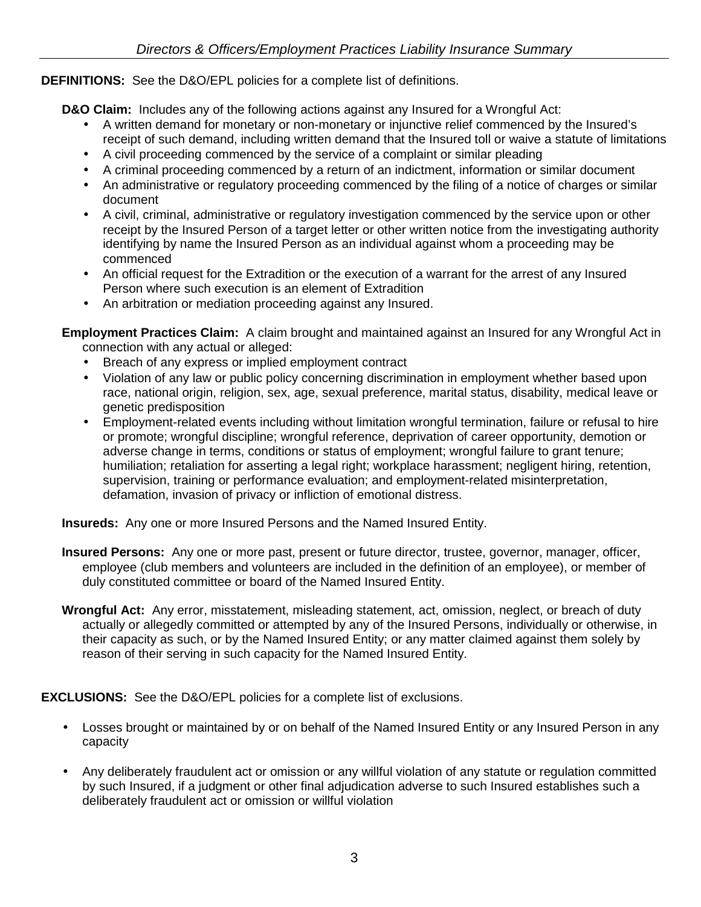## **DEFINITIONS:** See the D&O/EPL policies for a complete list of definitions.

**D&O Claim:** Includes any of the following actions against any Insured for a Wrongful Act:

- A written demand for monetary or non-monetary or injunctive relief commenced by the Insured's receipt of such demand, including written demand that the Insured toll or waive a statute of limitations
- A civil proceeding commenced by the service of a complaint or similar pleading
- A criminal proceeding commenced by a return of an indictment, information or similar document
- An administrative or regulatory proceeding commenced by the filing of a notice of charges or similar document
- A civil, criminal, administrative or regulatory investigation commenced by the service upon or other receipt by the Insured Person of a target letter or other written notice from the investigating authority identifying by name the Insured Person as an individual against whom a proceeding may be commenced
- An official request for the Extradition or the execution of a warrant for the arrest of any Insured Person where such execution is an element of Extradition
- An arbitration or mediation proceeding against any Insured.

**Employment Practices Claim:** A claim brought and maintained against an Insured for any Wrongful Act in connection with any actual or alleged:

- Breach of any express or implied employment contract
- Violation of any law or public policy concerning discrimination in employment whether based upon race, national origin, religion, sex, age, sexual preference, marital status, disability, medical leave or genetic predisposition
- Employment-related events including without limitation wrongful termination, failure or refusal to hire or promote; wrongful discipline; wrongful reference, deprivation of career opportunity, demotion or adverse change in terms, conditions or status of employment; wrongful failure to grant tenure; humiliation; retaliation for asserting a legal right; workplace harassment; negligent hiring, retention, supervision, training or performance evaluation; and employment-related misinterpretation, defamation, invasion of privacy or infliction of emotional distress.

**Insureds:** Any one or more Insured Persons and the Named Insured Entity.

- **Insured Persons:** Any one or more past, present or future director, trustee, governor, manager, officer, employee (club members and volunteers are included in the definition of an employee), or member of duly constituted committee or board of the Named Insured Entity.
- **Wrongful Act:** Any error, misstatement, misleading statement, act, omission, neglect, or breach of duty actually or allegedly committed or attempted by any of the Insured Persons, individually or otherwise, in their capacity as such, or by the Named Insured Entity; or any matter claimed against them solely by reason of their serving in such capacity for the Named Insured Entity.

**EXCLUSIONS:** See the D&O/EPL policies for a complete list of exclusions.

- Losses brought or maintained by or on behalf of the Named Insured Entity or any Insured Person in any capacity
- Any deliberately fraudulent act or omission or any willful violation of any statute or regulation committed by such Insured, if a judgment or other final adjudication adverse to such Insured establishes such a deliberately fraudulent act or omission or willful violation